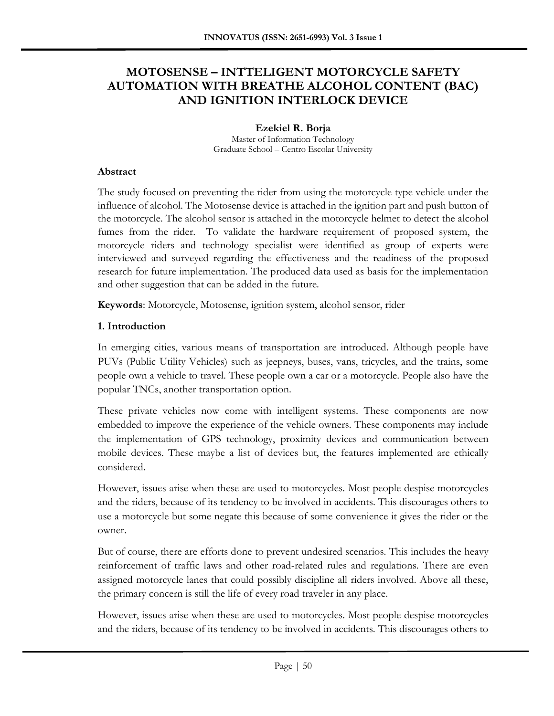# **MOTOSENSE – INTTELIGENT MOTORCYCLE SAFETY AUTOMATION WITH BREATHE ALCOHOL CONTENT (BAC) AND IGNITION INTERLOCK DEVICE**

**Ezekiel R. Borja** Master of Information Technology Graduate School – Centro Escolar University

## **Abstract**

The study focused on preventing the rider from using the motorcycle type vehicle under the influence of alcohol. The Motosense device is attached in the ignition part and push button of the motorcycle. The alcohol sensor is attached in the motorcycle helmet to detect the alcohol fumes from the rider. To validate the hardware requirement of proposed system, the motorcycle riders and technology specialist were identified as group of experts were interviewed and surveyed regarding the effectiveness and the readiness of the proposed research for future implementation. The produced data used as basis for the implementation and other suggestion that can be added in the future.

**Keywords**: Motorcycle, Motosense, ignition system, alcohol sensor, rider

# **1. Introduction**

In emerging cities, various means of transportation are introduced. Although people have PUVs (Public Utility Vehicles) such as jeepneys, buses, vans, tricycles, and the trains, some people own a vehicle to travel. These people own a car or a motorcycle. People also have the popular TNCs, another transportation option.

These private vehicles now come with intelligent systems. These components are now embedded to improve the experience of the vehicle owners. These components may include the implementation of GPS technology, proximity devices and communication between mobile devices. These maybe a list of devices but, the features implemented are ethically considered.

However, issues arise when these are used to motorcycles. Most people despise motorcycles and the riders, because of its tendency to be involved in accidents. This discourages others to use a motorcycle but some negate this because of some convenience it gives the rider or the owner.

But of course, there are efforts done to prevent undesired scenarios. This includes the heavy reinforcement of traffic laws and other road-related rules and regulations. There are even assigned motorcycle lanes that could possibly discipline all riders involved. Above all these, the primary concern is still the life of every road traveler in any place.

However, issues arise when these are used to motorcycles. Most people despise motorcycles and the riders, because of its tendency to be involved in accidents. This discourages others to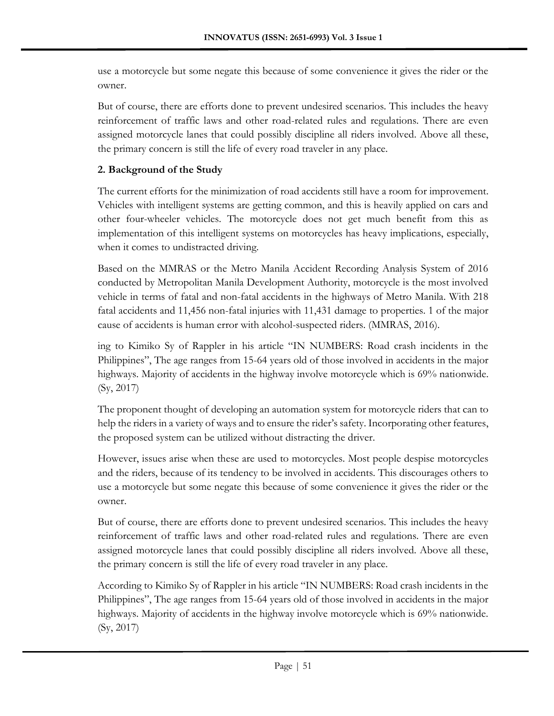use a motorcycle but some negate this because of some convenience it gives the rider or the owner.

But of course, there are efforts done to prevent undesired scenarios. This includes the heavy reinforcement of traffic laws and other road-related rules and regulations. There are even assigned motorcycle lanes that could possibly discipline all riders involved. Above all these, the primary concern is still the life of every road traveler in any place.

# **2. Background of the Study**

The current efforts for the minimization of road accidents still have a room for improvement. Vehicles with intelligent systems are getting common, and this is heavily applied on cars and other four-wheeler vehicles. The motorcycle does not get much benefit from this as implementation of this intelligent systems on motorcycles has heavy implications, especially, when it comes to undistracted driving.

Based on the MMRAS or the Metro Manila Accident Recording Analysis System of 2016 conducted by Metropolitan Manila Development Authority, motorcycle is the most involved vehicle in terms of fatal and non-fatal accidents in the highways of Metro Manila. With 218 fatal accidents and 11,456 non-fatal injuries with 11,431 damage to properties. 1 of the major cause of accidents is human error with alcohol-suspected riders. (MMRAS, 2016).

ing to Kimiko Sy of Rappler in his article "IN NUMBERS: Road crash incidents in the Philippines", The age ranges from 15-64 years old of those involved in accidents in the major highways. Majority of accidents in the highway involve motorcycle which is 69% nationwide. (Sy, 2017)

The proponent thought of developing an automation system for motorcycle riders that can to help the riders in a variety of ways and to ensure the rider's safety. Incorporating other features, the proposed system can be utilized without distracting the driver.

However, issues arise when these are used to motorcycles. Most people despise motorcycles and the riders, because of its tendency to be involved in accidents. This discourages others to use a motorcycle but some negate this because of some convenience it gives the rider or the owner.

But of course, there are efforts done to prevent undesired scenarios. This includes the heavy reinforcement of traffic laws and other road-related rules and regulations. There are even assigned motorcycle lanes that could possibly discipline all riders involved. Above all these, the primary concern is still the life of every road traveler in any place.

According to Kimiko Sy of Rappler in his article "IN NUMBERS: Road crash incidents in the Philippines", The age ranges from 15-64 years old of those involved in accidents in the major highways. Majority of accidents in the highway involve motorcycle which is 69% nationwide. (Sy, 2017)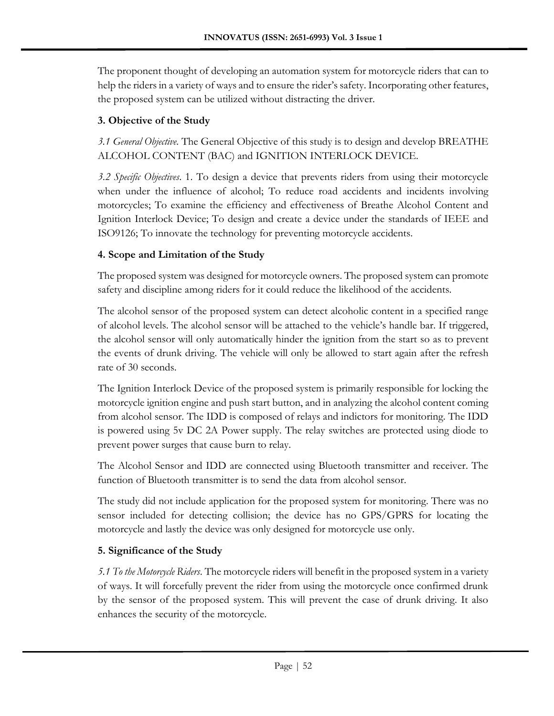The proponent thought of developing an automation system for motorcycle riders that can to help the riders in a variety of ways and to ensure the rider's safety. Incorporating other features, the proposed system can be utilized without distracting the driver.

# **3. Objective of the Study**

*3.1 General Objective.* The General Objective of this study is to design and develop BREATHE ALCOHOL CONTENT (BAC) and IGNITION INTERLOCK DEVICE.

*3.2 Specific Objectives*. 1. To design a device that prevents riders from using their motorcycle when under the influence of alcohol; To reduce road accidents and incidents involving motorcycles; To examine the efficiency and effectiveness of Breathe Alcohol Content and Ignition Interlock Device; To design and create a device under the standards of IEEE and ISO9126; To innovate the technology for preventing motorcycle accidents.

# **4. Scope and Limitation of the Study**

The proposed system was designed for motorcycle owners. The proposed system can promote safety and discipline among riders for it could reduce the likelihood of the accidents.

The alcohol sensor of the proposed system can detect alcoholic content in a specified range of alcohol levels. The alcohol sensor will be attached to the vehicle's handle bar. If triggered, the alcohol sensor will only automatically hinder the ignition from the start so as to prevent the events of drunk driving. The vehicle will only be allowed to start again after the refresh rate of 30 seconds.

The Ignition Interlock Device of the proposed system is primarily responsible for locking the motorcycle ignition engine and push start button, and in analyzing the alcohol content coming from alcohol sensor. The IDD is composed of relays and indictors for monitoring. The IDD is powered using 5v DC 2A Power supply. The relay switches are protected using diode to prevent power surges that cause burn to relay.

The Alcohol Sensor and IDD are connected using Bluetooth transmitter and receiver. The function of Bluetooth transmitter is to send the data from alcohol sensor.

The study did not include application for the proposed system for monitoring. There was no sensor included for detecting collision; the device has no GPS/GPRS for locating the motorcycle and lastly the device was only designed for motorcycle use only.

# **5. Significance of the Study**

*5.1 To the Motorcycle Riders*. The motorcycle riders will benefit in the proposed system in a variety of ways. It will forcefully prevent the rider from using the motorcycle once confirmed drunk by the sensor of the proposed system. This will prevent the case of drunk driving. It also enhances the security of the motorcycle.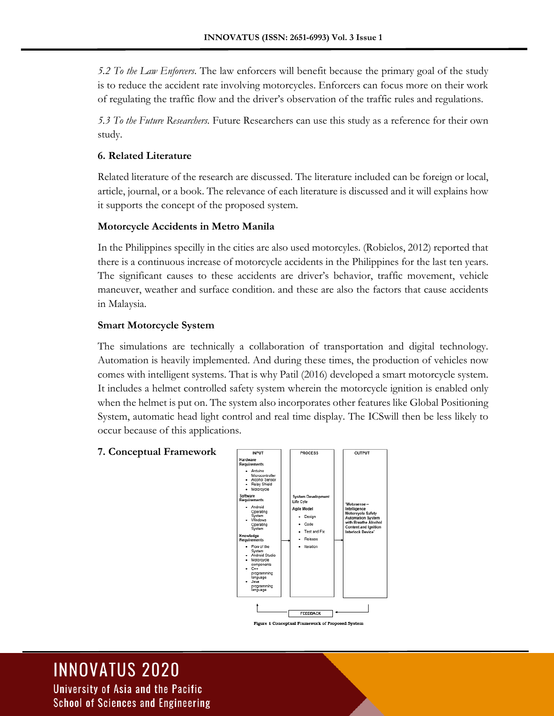*5.2 To the Law Enforcers*. The law enforcers will benefit because the primary goal of the study is to reduce the accident rate involving motorcycles. Enforcers can focus more on their work of regulating the traffic flow and the driver's observation of the traffic rules and regulations.

*5.3 To the Future Researchers.* Future Researchers can use this study as a reference for their own study.

## **6. Related Literature**

Related literature of the research are discussed. The literature included can be foreign or local, article, journal, or a book. The relevance of each literature is discussed and it will explains how it supports the concept of the proposed system*.*

## **Motorcycle Accidents in Metro Manila**

In the Philippines specilly in the cities are also used motorcyles. (Robielos, 2012) reported that there is a continuous increase of motorcycle accidents in the Philippines for the last ten years. The significant causes to these accidents are driver's behavior, traffic movement, vehicle maneuver, weather and surface condition. and these are also the factors that cause accidents in Malaysia.

## **Smart Motorcycle System**

The simulations are technically a collaboration of transportation and digital technology. Automation is heavily implemented. And during these times, the production of vehicles now comes with intelligent systems. That is why Patil (2016) developed a smart motorcycle system. It includes a helmet controlled safety system wherein the motorcycle ignition is enabled only when the helmet is put on. The system also incorporates other features like Global Positioning System, automatic head light control and real time display. The ICSwill then be less likely to occur because of this applications.

#### **7. Conceptual Framework**



.<br>Figure 1 Conceptual Framework of Proposed System

# **INNOVATUS 2020**

University of Asia and the Pacific School of Sciences and Engineering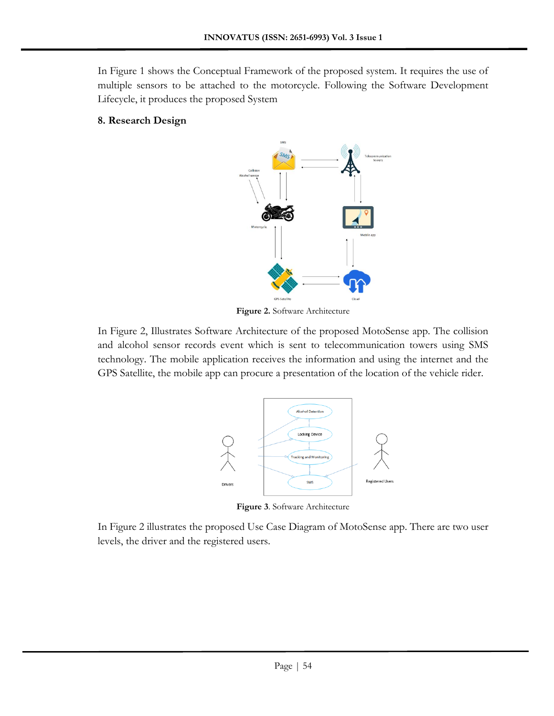In Figure 1 shows the Conceptual Framework of the proposed system. It requires the use of multiple sensors to be attached to the motorcycle. Following the Software Development Lifecycle, it produces the proposed System

#### **8. Research Design**



**Figure 2.** Software Architecture

In Figure 2, Illustrates Software Architecture of the proposed MotoSense app. The collision and alcohol sensor records event which is sent to telecommunication towers using SMS technology. The mobile application receives the information and using the internet and the GPS Satellite, the mobile app can procure a presentation of the location of the vehicle rider.



**Figure 3**. Software Architecture

In Figure 2 illustrates the proposed Use Case Diagram of MotoSense app. There are two user levels, the driver and the registered users.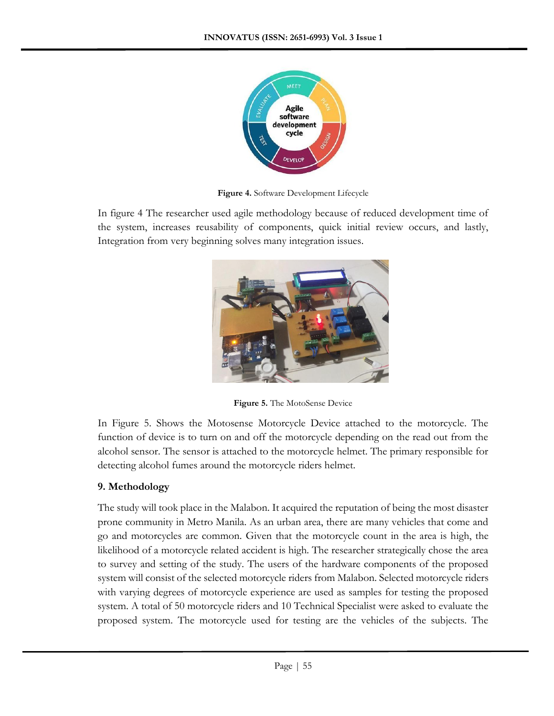

**Figure 4.** Software Development Lifecycle

In figure 4 The researcher used agile methodology because of reduced development time of the system, increases reusability of components, quick initial review occurs, and lastly, Integration from very beginning solves many integration issues.



**Figure 5.** The MotoSense Device

In Figure 5. Shows the Motosense Motorcycle Device attached to the motorcycle. The function of device is to turn on and off the motorcycle depending on the read out from the alcohol sensor. The sensor is attached to the motorcycle helmet. The primary responsible for detecting alcohol fumes around the motorcycle riders helmet.

## **9. Methodology**

The study will took place in the Malabon. It acquired the reputation of being the most disaster prone community in Metro Manila. As an urban area, there are many vehicles that come and go and motorcycles are common. Given that the motorcycle count in the area is high, the likelihood of a motorcycle related accident is high. The researcher strategically chose the area to survey and setting of the study. The users of the hardware components of the proposed system will consist of the selected motorcycle riders from Malabon. Selected motorcycle riders with varying degrees of motorcycle experience are used as samples for testing the proposed system. A total of 50 motorcycle riders and 10 Technical Specialist were asked to evaluate the proposed system. The motorcycle used for testing are the vehicles of the subjects. The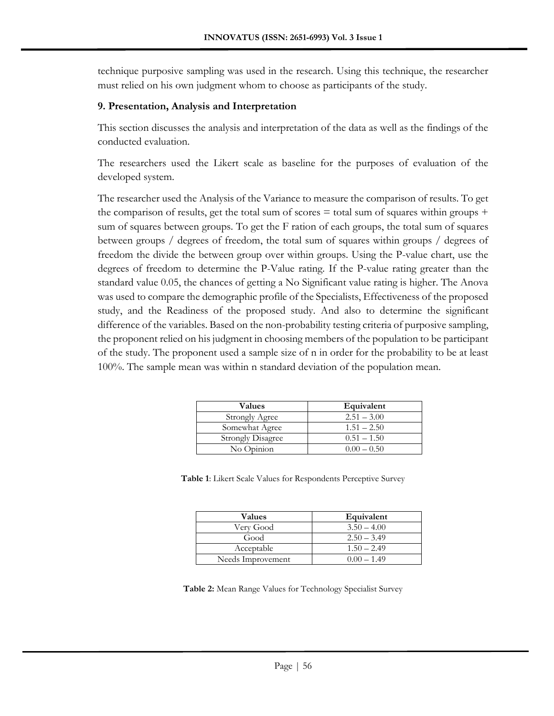technique purposive sampling was used in the research. Using this technique, the researcher must relied on his own judgment whom to choose as participants of the study.

## **9. Presentation, Analysis and Interpretation**

This section discusses the analysis and interpretation of the data as well as the findings of the conducted evaluation.

The researchers used the Likert scale as baseline for the purposes of evaluation of the developed system.

The researcher used the Analysis of the Variance to measure the comparison of results. To get the comparison of results, get the total sum of scores  $=$  total sum of squares within groups  $+$ sum of squares between groups. To get the F ration of each groups, the total sum of squares between groups / degrees of freedom, the total sum of squares within groups / degrees of freedom the divide the between group over within groups. Using the P-value chart, use the degrees of freedom to determine the P-Value rating. If the P-value rating greater than the standard value 0.05, the chances of getting a No Significant value rating is higher. The Anova was used to compare the demographic profile of the Specialists, Effectiveness of the proposed study, and the Readiness of the proposed study. And also to determine the significant difference of the variables. Based on the non-probability testing criteria of purposive sampling, the proponent relied on his judgment in choosing members of the population to be participant of the study. The proponent used a sample size of n in order for the probability to be at least 100%. The sample mean was within n standard deviation of the population mean.

| <b>Values</b>            | Equivalent    |
|--------------------------|---------------|
| <b>Strongly Agree</b>    | $2.51 - 3.00$ |
| Somewhat Agree           | $1.51 - 2.50$ |
| <b>Strongly Disagree</b> | $0.51 - 1.50$ |
| No Opinion               | $0.00 - 0.50$ |

**Table 1**: Likert Scale Values for Respondents Perceptive Survey

| Values            | Equivalent    |
|-------------------|---------------|
| Very Good         | $3.50 - 4.00$ |
| Good              | $2.50 - 3.49$ |
| Acceptable        | $1.50 - 2.49$ |
| Needs Improvement | $0.00 - 1.49$ |

**Table 2:** Mean Range Values for Technology Specialist Survey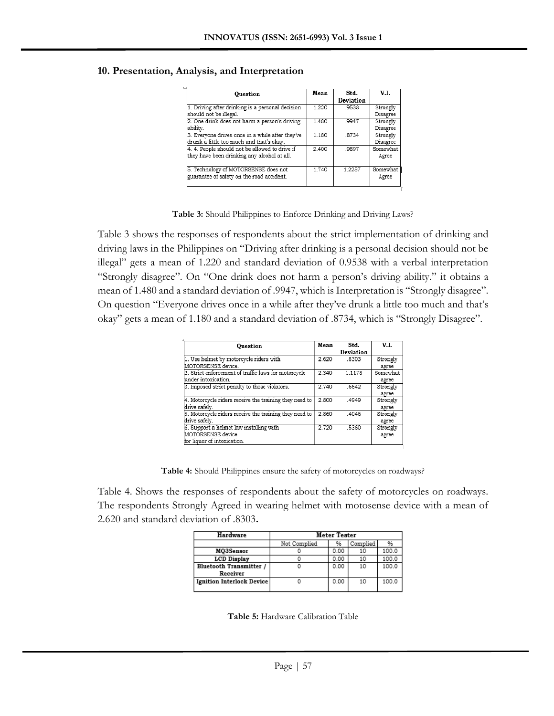| Ouestion                                                                                      | Mean  | Std.<br>Deviation | V.I.                 |
|-----------------------------------------------------------------------------------------------|-------|-------------------|----------------------|
| 1. Driving after drinking is a personal decision<br>should not be illegal.                    | 1.220 | .9538             | Strongly<br>Disagree |
| 2. One drink does not harm a person's driving<br>ability.                                     | 1.480 | .9947             | Strongly<br>Disagree |
| 3. Everyone drives once in a while after they've<br>drunk a little too much and that's okay.  | 1.180 | .8734             | Strongly<br>Disagree |
| 4. 4. People should not be allowed to drive if<br>they have been drinking any alcohol at all. | 2.400 | .9897             | Somewhat<br>Agree    |
| 5. Technology of MOTORSENSE does not<br>guarantee of safety on the road accident.             | 1.740 | 1.2257            | Somewhat<br>Agree    |

#### **10. Presentation, Analysis, and Interpretation**

**Table 3:** Should Philippines to Enforce Drinking and Driving Laws?

Table 3 shows the responses of respondents about the strict implementation of drinking and driving laws in the Philippines on "Driving after drinking is a personal decision should not be illegal" gets a mean of 1.220 and standard deviation of 0.9538 with a verbal interpretation "Strongly disagree". On "One drink does not harm a person's driving ability." it obtains a mean of 1.480 and a standard deviation of .9947, which is Interpretation is "Strongly disagree". On question "Everyone drives once in a while after they've drunk a little too much and that's okay" gets a mean of 1.180 and a standard deviation of .8734, which is "Strongly Disagree".

| Ouestion                                               | Mean  | Std.      | V.I.     |
|--------------------------------------------------------|-------|-----------|----------|
|                                                        |       | Deviation |          |
| 1. Use helmet by motorcycle riders with                | 2.620 | .8303     | Strongly |
| MOTORSENSE device.                                     |       |           | agree    |
| 2. Strict enforcement of traffic laws for motorcycle   | 2.340 | 1.1178    | Somewhat |
| under intoxication.                                    |       |           | agree    |
| 3. Imposed strict penalty to those violators.          | 2.740 | .6642     | Strongly |
|                                                        |       |           | agree    |
| 4. Motorcycle riders receive the training they need to | 2.800 | .4949     | Strongly |
| drive safely.                                          |       |           | agree    |
| 5. Motorcycle riders receive the training they need to | 2.860 | .4046     | Strongly |
| drive safely.                                          |       |           | agree    |
| 6. Support a helmet law installing with                | 2.720 | .5360     | Strongly |
| MOTORSENSE device                                      |       |           | agree    |
| for liquor of intoxication.                            |       |           |          |

**Table 4:** Should Philippines ensure the safety of motorcycles on roadways?

Table 4. Shows the responses of respondents about the safety of motorcycles on roadways. The respondents Strongly Agreed in wearing helmet with motosense device with a mean of 2.620 and standard deviation of .8303**.**

| Hardware                         | Meter Tester |          |    |       |
|----------------------------------|--------------|----------|----|-------|
|                                  | Not Complied | Complied | %  |       |
| MO3Sensor                        |              | 0.00     | 10 | 100.0 |
| <b>LCD Display</b>               |              | 0.00     | 10 | 100.0 |
| <b>Bluetooth Transmitter /</b>   |              | 0.00     | 10 | 100.0 |
| Receiver                         |              |          |    |       |
| <b>Ignition Interlock Device</b> |              | 0.00     | 10 | 100.0 |

**Table 5:** Hardware Calibration Table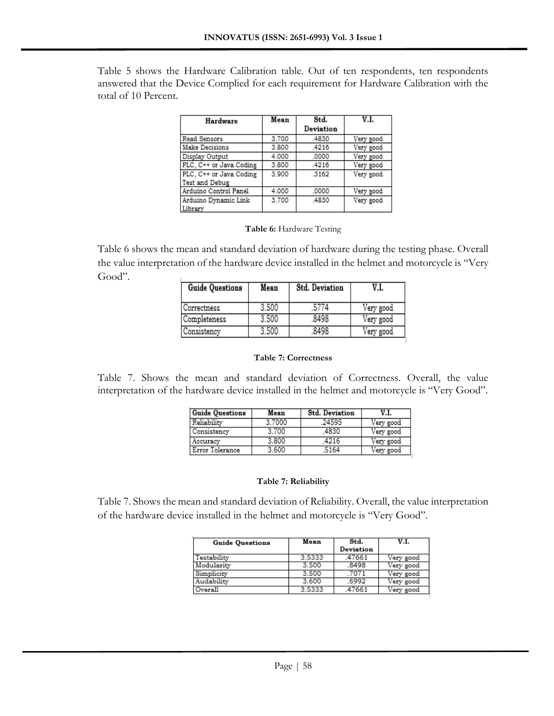Table 5 shows the Hardware Calibration table. Out of ten respondents, ten respondents answered that the Device Complied for each requirement for Hardware Calibration with the total of 10 Percent.

| Hardware                | Mean  | Std.      |           |
|-------------------------|-------|-----------|-----------|
|                         |       | Deviation |           |
| Read Sensors            | 3.700 | .4830     | Very good |
| Make Decisions          | 3.800 | .4216     | Very good |
| Display Output          | 4.000 | .0000     | Very good |
| PLC, C++ or Java Coding | 3,800 | .4216     | Very good |
| PLC. C++ or Java Coding | 3.900 | .3162     | Very good |
| Test and Debug          |       |           |           |
| Arduino Control Panel   | 4.000 | .0000     | Very good |
| Arduino Dynamic Link    | 3.700 | .4830     | Very good |
| Library                 |       |           |           |

#### **Table 6:** Hardware Testing

Table 6 shows the mean and standard deviation of hardware during the testing phase. Overall the value interpretation of the hardware device installed in the helmet and motorcycle is "Very Good".

| Mean  | <b>Std. Deviation</b> |           |
|-------|-----------------------|-----------|
| 3.500 |                       | Very good |
| 3.500 | .8498                 | Very good |
| 3.500 | 8498                  | Very good |
|       |                       |           |

#### **Table 7: Correctness**

Table 7. Shows the mean and standard deviation of Correctness. Overall, the value interpretation of the hardware device installed in the helmet and motorcycle is "Very Good".

| <b>Guide Questions</b> | Mean   | <b>Std. Deviation</b> | V.I.      |
|------------------------|--------|-----------------------|-----------|
| Reliability            | 3.7000 | .24595                | Very good |
| l Consistency          | 3700   | 4830                  | Very good |
| Accuracy               | 3.800  | 4216                  | Very good |
| Error Tolerance        | 3.600  | 5164                  | Very good |
|                        |        |                       |           |

#### **Table 7: Reliability**

Table 7. Shows the mean and standard deviation of Reliability. Overall, the value interpretation of the hardware device installed in the helmet and motorcycle is "Very Good".

| <b>Guide Ouestions</b> | Mean<br>Std. |           | V.I.      |  |
|------------------------|--------------|-----------|-----------|--|
|                        |              | Deviation |           |  |
| Testability            | 3.5333       | .47661    | Very good |  |
| Modularity             | 3.500        | .8498     | Very good |  |
| Simplicity             | 3.500        | .7071     | Very good |  |
| Audability             | 3.600        | .6992     | Very good |  |
| Overall                | 3.5333       | .47661    | Very good |  |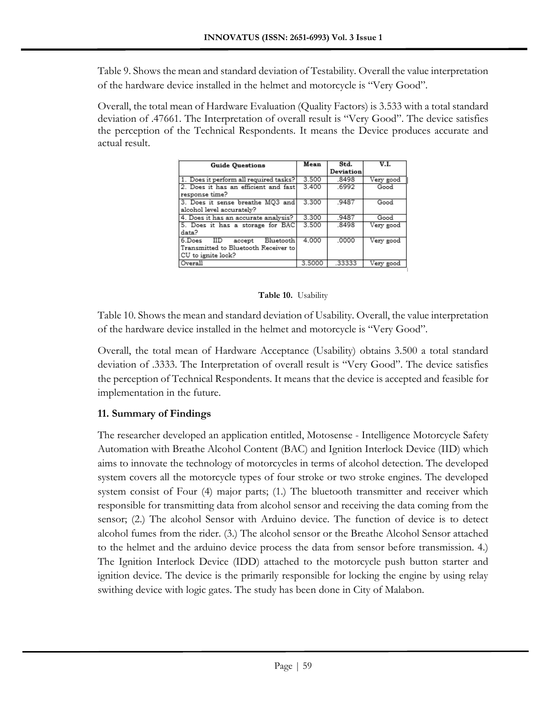Table 9. Shows the mean and standard deviation of Testability. Overall the value interpretation of the hardware device installed in the helmet and motorcycle is "Very Good".

Overall, the total mean of Hardware Evaluation (Quality Factors) is 3.533 with a total standard deviation of .47661. The Interpretation of overall result is "Very Good". The device satisfies the perception of the Technical Respondents. It means the Device produces accurate and actual result.

| <b>Guide Ouestions</b>                    | Mean   | Std.<br>Deviation | V.I.      |
|-------------------------------------------|--------|-------------------|-----------|
|                                           |        |                   |           |
| 1. Does it perform all required tasks?    | 3.500  | .8498             | Very good |
| 2. Does it has an efficient and fast      | 3.400  | .6992             | Good      |
| response time?                            |        |                   |           |
| 3. Does it sense breathe MO3 and          | 3.300  | .9487             | Good      |
| alcohol level accurately?                 |        |                   |           |
| 4. Does it has an accurate analysis?      | 3.300  | 9487              | Good      |
| 5. Does it has a storage for BAC<br>data? | 3.500  | 8498              | Very good |
| 6.Does<br>Bluetooth<br>IID<br>accept      | 4.000  | .0000             | Very good |
| Transmitted to Bluetooth Receiver to      |        |                   |           |
| CU to ignite lock?                        |        |                   |           |
| Overall                                   | 3.5000 | .33333            | Very good |

## **Table 10.** Usability

Table 10. Shows the mean and standard deviation of Usability. Overall, the value interpretation of the hardware device installed in the helmet and motorcycle is "Very Good".

Overall, the total mean of Hardware Acceptance (Usability) obtains 3.500 a total standard deviation of .3333. The Interpretation of overall result is "Very Good". The device satisfies the perception of Technical Respondents. It means that the device is accepted and feasible for implementation in the future.

# **11. Summary of Findings**

The researcher developed an application entitled, Motosense - Intelligence Motorcycle Safety Automation with Breathe Alcohol Content (BAC) and Ignition Interlock Device (IID) which aims to innovate the technology of motorcycles in terms of alcohol detection. The developed system covers all the motorcycle types of four stroke or two stroke engines. The developed system consist of Four (4) major parts; (1.) The bluetooth transmitter and receiver which responsible for transmitting data from alcohol sensor and receiving the data coming from the sensor; (2.) The alcohol Sensor with Arduino device. The function of device is to detect alcohol fumes from the rider. (3.) The alcohol sensor or the Breathe Alcohol Sensor attached to the helmet and the arduino device process the data from sensor before transmission. 4.) The Ignition Interlock Device (IDD) attached to the motorcycle push button starter and ignition device. The device is the primarily responsible for locking the engine by using relay swithing device with logic gates. The study has been done in City of Malabon.